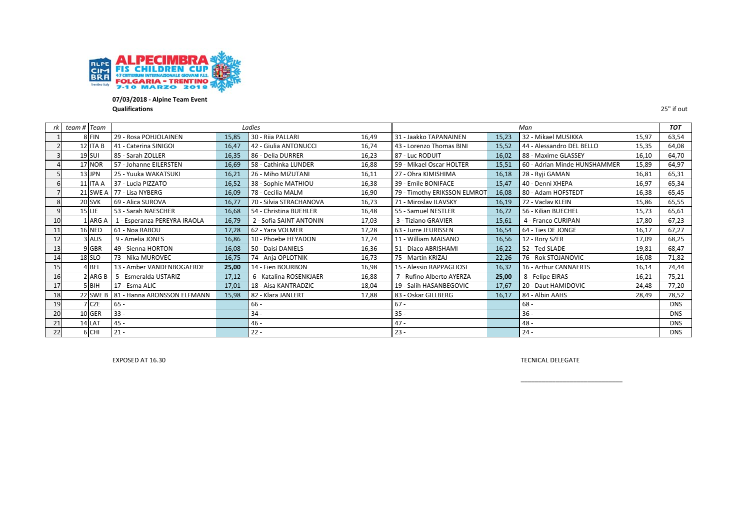

**07/03/2018 ‐ Alpine Team Event Qualifications** 25" if out

|    | team # Team   |                              |       | Ladies                  |       |                              |       | Man                          |       | <b>TOT</b> |
|----|---------------|------------------------------|-------|-------------------------|-------|------------------------------|-------|------------------------------|-------|------------|
|    | 8 FIN         | 29 - Rosa POHJOLAINEN        | 15,85 | 30 - Riia PALLARI       | 16,49 | 31 - Jaakko TAPANAINEN       | 15,23 | 32 - Mikael MUSIKKA          | 15,97 | 63,54      |
|    | 12 ITA B      | 41 - Caterina SINIGOI        | 16,47 | 42 - Giulia ANTONUCCI   | 16,74 | 43 - Lorenzo Thomas BINI     | 15,52 | 44 - Alessandro DEL BELLO    | 15,35 | 64,08      |
|    | 19 SUI        | 85 - Sarah ZOLLER            | 16,35 | 86 - Delia DURRER       | 16,23 | 87 - Luc RODUIT              | 16,02 | 88 - Maxime GLASSEY          | 16,10 | 64,70      |
|    | 17 NOR        | 57 - Johanne EILERSTEN       | 16,69 | 58 - Cathinka LUNDER    | 16,88 | 59 - Mikael Oscar HOLTER     | 15,51 | 60 - Adrian Minde HUNSHAMMER | 15,89 | 64,97      |
|    | 13 JPN        | 25 - Yuuka WAKATSUKI         | 16,21 | 26 - Miho MIZUTANI      | 16,11 | 27 - Ohra KIMISHIMA          | 16,18 | 28 - Ryji GAMAN              | 16,81 | 65,31      |
|    | 11 ITA A      | 37 - Lucia PIZZATO           | 16,52 | 38 - Sophie MATHIOU     | 16,38 | 39 - Emile BONIFACE          | 15,47 | 40 - Denni XHEPA             | 16,97 | 65,34      |
|    | 21 SWE A      | 77 - Lisa NYBERG             | 16,09 | 78 - Cecilia MALM       | 16,90 | 79 - Timothy ERIKSSON ELMROT | 16,08 | 80 - Adam HOFSTEDT           | 16,38 | 65,45      |
| 8  | 20 SVK        | 69 - Alica SUROVA            | 16,77 | 70 - Silvia STRACHANOVA | 16,73 | 71 - Miroslav ILAVSKY        | 16,19 | 72 - Vaclav KLEIN            | 15,86 | 65,55      |
| 9  | $15$ LIE      | 53 - Sarah NAESCHER          | 16,68 | 54 - Christina BUEHLER  | 16,48 | 55 - Samuel NESTLER          | 16,72 | 56 - Kilian BUECHEL          | 15,73 | 65,61      |
| 10 | ARG A         | 1 - Esperanza PEREYRA IRAOLA | 16,79 | 2 - Sofia SAINT ANTONIN | 17,03 | 3 - Tiziano GRAVIER          | 15,61 | 4 - Franco CURIPAN           | 17,80 | 67,23      |
| 11 | <b>16 NED</b> | 61 - Noa RABOU               | 17,28 | 62 - Yara VOLMER        | 17,28 | 63 - Jurre JEURISSEN         | 16,54 | 64 - Ties DE JONGE           | 16,17 | 67,27      |
| 12 | 3 AUS         | 9 - Amelia JONES             | 16,86 | 10 - Phoebe HEYADON     | 17,74 | 11 - William MAISANO         | 16,56 | 12 - Rory SZER               | 17,09 | 68,25      |
| 13 | 9 GBR         | 49 - Sienna HORTON           | 16,08 | 50 - Daisi DANIELS      | 16,36 | 51 - Diaco ABRISHAMI         | 16,22 | 52 - Ted SLADE               | 19,81 | 68,47      |
| 14 | 18 SLO        | 73 - Nika MUROVEC            | 16,75 | 74 - Anja OPLOTNIK      | 16,73 | 75 - Martin KRIZAJ           | 22,26 | 76 - Rok STOJANOVIC          | 16,08 | 71,82      |
| 15 | 4 BEL         | 13 - Amber VANDENBOGAERDE    | 25,00 | 14 - Fien BOURBON       | 16,98 | 15 - Alessio RAPPAGLIOSI     | 16,32 | 16 - Arthur CANNAERTS        | 16,14 | 74,44      |
| 16 | 2 ARG B       | 5 - Esmeralda USTARIZ        | 17,12 | 6 - Katalina ROSENKJAER | 16,88 | 7 - Rufino Alberto AYERZA    | 25,00 | 8 - Felipe EIRAS             | 16,21 | 75,21      |
| 17 | 5 BIH         | 17 - Esma ALIC               | 17,01 | 18 - Aisa KANTRADZIC    | 18,04 | 19 - Salih HASANBEGOVIC      | 17,67 | 20 - Daut HAMIDOVIC          | 24,48 | 77,20      |
| 18 | 22 SWE B      | 81 - Hanna ARONSSON ELFMANN  | 15,98 | 82 - Klara JANLERT      | 17,88 | 83 - Oskar GILLBERG          | 16,17 | 84 - Albin AAHS              | 28,49 | 78,52      |
| 19 | 7 CZE         | $65 -$                       |       | $66 -$                  |       | $67 -$                       |       | $68 -$                       |       | <b>DNS</b> |
| 20 | 10 GER        | $33 -$                       |       | $34 -$                  |       | $35 -$                       |       | $36 -$                       |       | <b>DNS</b> |
| 21 | 14 LAT        | $45 -$                       |       | 46 -                    |       | $47 -$                       |       | $48 -$                       |       | <b>DNS</b> |
| 22 | 6 CHI         | $21 -$                       |       | $22 -$                  |       | $23 -$                       |       | $24 -$                       |       | <b>DNS</b> |

EXPOSED AT 16.30

TECNICAL DELEGATE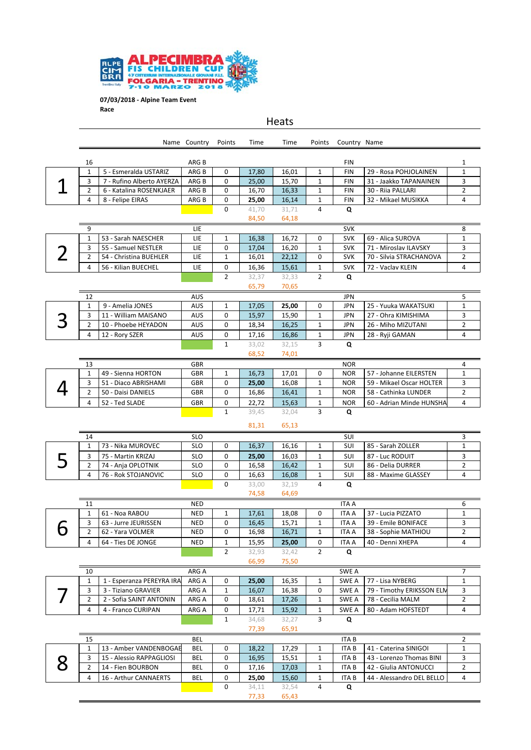

|   |                    |                                               | Name Country             | Points           | Time           | Time           | Points                     | Country Name             |                                                  |                     |
|---|--------------------|-----------------------------------------------|--------------------------|------------------|----------------|----------------|----------------------------|--------------------------|--------------------------------------------------|---------------------|
|   | 16                 |                                               | ARG B                    |                  |                |                |                            | <b>FIN</b>               |                                                  | 1                   |
|   | $\mathbf{1}$       | 5 - Esmeralda USTARIZ                         | ARG B                    | 0                | 17,80          | 16,01          | $\mathbf{1}$               | <b>FIN</b>               | 29 - Rosa POHJOLAINEN                            | $\mathbf 1$         |
|   | 3                  | 7 - Rufino Alberto AYERZA                     | ARG B                    | 0                | 25,00          | 15,70          | $\mathbf{1}$               | <b>FIN</b>               | 31 - Jaakko TAPANAINEN                           | 3                   |
|   | $\overline{2}$     | 6 - Katalina ROSENKJAER                       | ARG B                    | 0                | 16,70          | 16,33          | $\mathbf{1}$               | <b>FIN</b>               | 30 - Riia PALLARI                                | $\overline{2}$      |
|   | 4                  | 8 - Felipe EIRAS                              | ARG B                    | 0                | 25,00          | 16,14          | $\mathbf 1$                | <b>FIN</b>               | 32 - Mikael MUSIKKA                              | 4                   |
|   |                    |                                               |                          | 0                | 41,70          | 31,71          | $\overline{4}$             | Q                        |                                                  |                     |
|   |                    |                                               |                          |                  | 84,50          | 64,18          |                            |                          |                                                  |                     |
|   | 9                  |                                               | LIE                      |                  |                |                |                            | <b>SVK</b>               |                                                  | 8                   |
|   | 1                  | 53 - Sarah NAESCHER                           | LIE                      | $\mathbf{1}$     | 16,38          | 16,72          | 0                          | <b>SVK</b>               | 69 - Alica SUROVA                                | 1                   |
|   | 3<br>2             | 55 - Samuel NESTLER<br>54 - Christina BUEHLER | LIE<br>LIE               | 0<br>$\mathbf 1$ | 17,04<br>16,01 | 16,20<br>22,12 | $\mathbf 1$<br>0           | <b>SVK</b><br><b>SVK</b> | 71 - Miroslav ILAVSKY<br>70 - Silvia STRACHANOVA | 3<br>$\overline{2}$ |
|   | 4                  | 56 - Kilian BUECHEL                           | LIE                      | 0                | 16,36          | 15,61          | $\mathbf 1$                | <b>SVK</b>               | 72 - Vaclav KLEIN                                | 4                   |
|   |                    |                                               |                          | $\overline{2}$   | 32,37          | 32,33          | $\overline{2}$             | Q                        |                                                  |                     |
|   |                    |                                               |                          |                  | 65,79          | 70,65          |                            |                          |                                                  |                     |
|   | 12                 |                                               | <b>AUS</b>               |                  |                |                |                            | <b>JPN</b>               |                                                  | 5                   |
|   | $\mathbf 1$        | 9 - Amelia JONES                              | <b>AUS</b>               | $\mathbf{1}$     | 17,05          | 25,00          | $\mathbf 0$                | <b>JPN</b>               | 25 - Yuuka WAKATSUKI                             | 1                   |
|   | 3                  | 11 - William MAISANO                          | <b>AUS</b>               | 0                | 15,97          | 15,90          | $\mathbf{1}$               | <b>JPN</b>               | 27 - Ohra KIMISHIMA                              | 3                   |
|   | $\overline{2}$     | 10 - Phoebe HEYADON                           | <b>AUS</b>               | 0                | 18,34          | 16,25          | $\mathbf{1}$               | <b>JPN</b>               | 26 - Miho MIZUTANI                               | $\overline{2}$      |
|   | 4                  | 12 - Rory SZER                                | <b>AUS</b>               | 0                | 17,16          | 16,86          | 1                          | JPN                      | 28 - Ryji GAMAN                                  | 4                   |
|   |                    |                                               |                          | $\mathbf{1}$     | 33,02          | 32,15          | 3                          | Q                        |                                                  |                     |
|   |                    |                                               |                          |                  | 68,52          | 74,01          |                            |                          |                                                  |                     |
|   | 13                 |                                               | <b>GBR</b>               |                  |                |                |                            | <b>NOR</b>               |                                                  | 4                   |
|   | 1                  | 49 - Sienna HORTON                            | <b>GBR</b>               | $\mathbf{1}$     | 16,73          | 17,01          | 0                          | <b>NOR</b>               | 57 - Johanne EILERSTEN                           | 1                   |
|   | 3<br>2             | 51 - Diaco ABRISHAMI<br>50 - Daisi DANIELS    | <b>GBR</b><br><b>GBR</b> | 0<br>0           | 25,00<br>16,86 | 16,08<br>16,41 | $\mathbf 1$<br>$\mathbf 1$ | <b>NOR</b><br><b>NOR</b> | 59 - Mikael Oscar HOLTER<br>58 - Cathinka LUNDER | 3<br>$\overline{2}$ |
|   | 4                  | 52 - Ted SLADE                                | <b>GBR</b>               | 0                | 22,72          |                | $\mathbf 1$                | <b>NOR</b>               | 60 - Adrian Minde HUNSHA                         | 4                   |
|   |                    |                                               |                          | $\mathbf{1}$     | 39,45          | 15,63<br>32,04 | 3                          | Q                        |                                                  |                     |
|   |                    |                                               |                          |                  |                |                |                            |                          |                                                  |                     |
|   |                    |                                               |                          |                  | 81,31          | 65,13          |                            |                          |                                                  |                     |
|   | 14<br>$\mathbf{1}$ | 73 - Nika MUROVEC                             | <b>SLO</b><br><b>SLO</b> | 0                | 16,37          | 16,16          | $\mathbf{1}$               | SUI<br>SUI               | 85 - Sarah ZOLLER                                | 3<br>$\mathbf 1$    |
|   | 3                  | 75 - Martin KRIZAJ                            | <b>SLO</b>               | 0                | 25,00          | 16,03          | $\mathbf{1}$               | SUI                      | 87 - Luc RODUIT                                  | 3                   |
|   | 2                  | 74 - Anja OPLOTNIK                            | <b>SLO</b>               | 0                | 16,58          | 16,42          | $\mathbf{1}$               | SUI                      | 86 - Delia DURRER                                | $\overline{2}$      |
|   | 4                  | 76 - Rok STOJANOVIC                           | <b>SLO</b>               | 0                | 16,63          | 16,08          | $\mathbf{1}$               | SUI                      | 88 - Maxime GLASSEY                              | 4                   |
|   |                    |                                               |                          | $\Omega$         | 33,00          | 32,19          | $\overline{4}$             | Q                        |                                                  |                     |
|   |                    |                                               |                          |                  | 74,58          | 64,69          |                            |                          |                                                  |                     |
|   | 11                 |                                               | <b>NED</b>               |                  |                |                |                            | <b>ITA A</b>             |                                                  | 6                   |
|   | 1                  | 61 - Noa RABOU                                | <b>NED</b>               | 1                | 17,61          | 18,08          | 0                          | <b>ITA A</b>             | 37 - Lucia PIZZATO                               | 1                   |
|   | 3                  | 63 - Jurre JEURISSEN                          | <b>NED</b>               | 0                | 16,45          | 15,71          | $\mathbf{1}$               | <b>ITA A</b>             | 39 - Emile BONIFACE                              | 3                   |
| U | 2                  | 62 - Yara VOLMER                              | <b>NED</b>               | 0                | 16,98          | 16,71          | $\mathbf{1}$               | <b>ITA A</b>             | 38 - Sophie MATHIOU                              | 2                   |
|   | 4                  | 64 - Ties DE JONGE                            | <b>NED</b>               | $\mathbf 1$      | 15,95          | 25,00          | 0                          | <b>ITA A</b>             | 40 - Denni XHEPA                                 | 4                   |
|   |                    |                                               |                          | $\overline{2}$   | 32,93          | 32,42          | $\overline{2}$             | Q                        |                                                  |                     |
|   | 10                 |                                               | ARG A                    |                  | 66,99          | 75,50          |                            | SWE A                    |                                                  | 7                   |
|   | 1                  | 1 - Esperanza PEREYRA IRA                     | ARG A                    | 0                | 25,00          | 16,35          | 1                          | SWE A                    | 77 - Lisa NYBERG                                 | 1                   |
|   | 3                  | 3 - Tiziano GRAVIER                           | ARG A                    | 1                | 16,07          | 16,38          | 0                          | SWE A                    | 79 - Timothy ERIKSSON ELN                        | 3                   |
|   | 2                  | 2 - Sofia SAINT ANTONIN                       | ARG A                    | 0                | 18,61          | 17,26          | $\mathbf{1}$               | SWE A                    | 78 - Cecilia MALM                                | $\overline{2}$      |
|   | 4                  | 4 - Franco CURIPAN                            | ARG A                    | 0                | 17,71          | 15,92          | 1                          | SWE A                    | 80 - Adam HOFSTEDT                               | 4                   |
|   |                    |                                               |                          | $\mathbf{1}$     | 34,68          | 32,27          | 3                          | Q                        |                                                  |                     |
|   |                    |                                               |                          |                  | 77,39          | 65,91          |                            |                          |                                                  |                     |
|   | 15                 |                                               | BEL                      |                  |                |                |                            | <b>ITAB</b>              |                                                  | $\overline{2}$      |
|   | $\mathbf{1}$       | 13 - Amber VANDENBOGAE                        | BEL                      | 0                | 18,22          | 17,29          | 1                          | <b>ITAB</b>              | 41 - Caterina SINIGOI                            | 1                   |
|   | 3                  | 15 - Alessio RAPPAGLIOSI                      | BEL                      | 0                | 16,95          | 15,51          | 1                          | <b>ITAB</b>              | 43 - Lorenzo Thomas BINI                         | 3                   |
|   | 2                  | 14 - Fien BOURBON                             | <b>BEL</b>               | 0                | 17,16          | 17,03          | $\mathbf{1}$               | ITA B                    | 42 - Giulia ANTONUCCI                            | $\overline{2}$      |
|   | 4                  | 16 - Arthur CANNAERTS                         | BEL                      | 0                | 25,00          | 15,60          | 1                          | <b>ITAB</b>              | 44 - Alessandro DEL BELLO                        | 4                   |
|   |                    |                                               |                          | 0                | 34,11<br>77,33 | 32,54<br>65,43 | 4                          | Q                        |                                                  |                     |
|   |                    |                                               |                          |                  |                |                |                            |                          |                                                  |                     |

Heats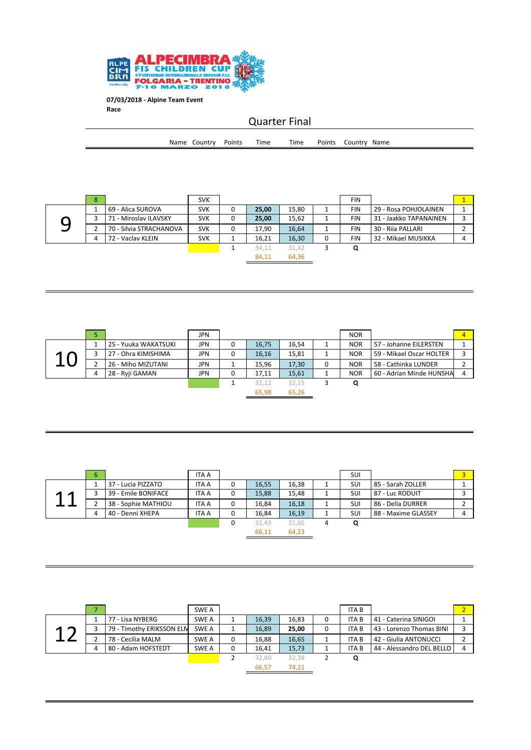

 $\equiv$ 

| <b>Quarter Final</b> |  |                     |  |      |      |  |                     |  |  |  |
|----------------------|--|---------------------|--|------|------|--|---------------------|--|--|--|
|                      |  | Name Country Points |  | Time | Time |  | Points Country Name |  |  |  |
|                      |  |                     |  |      |      |  |                     |  |  |  |

| 8 |                         | <b>SVK</b> |   |       |       | <b>FIN</b> |                        |  |
|---|-------------------------|------------|---|-------|-------|------------|------------------------|--|
|   | 69 - Alica SUROVA       | <b>SVK</b> | 0 | 25,00 | 15,80 | <b>FIN</b> | 29 - Rosa POHJOLAINEN  |  |
|   | 71 - Miroslav ILAVSKY   | <b>SVK</b> | 0 | 25,00 | 15.62 | <b>FIN</b> | 31 - Jaakko TAPANAINEN |  |
|   | 70 - Silvia STRACHANOVA | <b>SVK</b> | 0 | 17.90 | 16.64 | <b>FIN</b> | 30 - Rija PALLARI      |  |
| 4 | 72 - Vaclav KLEIN       | <b>SVK</b> |   | 16,21 | 16,30 | <b>FIN</b> | 32 - Mikael MUSIKKA    |  |
|   |                         |            |   | 34.11 | 31.42 | Q          |                        |  |
|   |                         |            |   | 84.11 | 64,36 |            |                        |  |

|   | 5 |                      | <b>JPN</b> |   |       |       |   | <b>NOR</b> |                          | $\overline{a}$ |
|---|---|----------------------|------------|---|-------|-------|---|------------|--------------------------|----------------|
|   |   | 25 - Yuuka WAKATSUKI | JPN        | 0 | 16.75 | 16.54 |   | <b>NOR</b> | 57 - Johanne EILERSTEN   |                |
| Л |   | 27 - Ohra KIMISHIMA  | <b>JPN</b> | 0 | 16,16 | 15,81 |   | <b>NOR</b> | 59 - Mikael Oscar HOLTER |                |
|   |   | 26 - Miho MIZUTANI   | JPN        |   | 15,96 | 17,30 | 0 | <b>NOR</b> | 58 - Cathinka LUNDER     |                |
|   | 4 | 28 - Ryji GAMAN      | <b>JPN</b> | 0 | 17,11 | 15,61 |   | <b>NOR</b> | 60 - Adrian Minde HUNSHA | 4              |
|   |   |                      |            |   | 32,12 | 32.15 |   | Q          |                          |                |
|   |   |                      |            |   | 65,98 | 65,26 |   |            |                          |                |

|                               | 6 |                     | <b>ITA A</b> |   |       |       | SUI |                     | $\overline{a}$ |
|-------------------------------|---|---------------------|--------------|---|-------|-------|-----|---------------------|----------------|
|                               |   | 37 - Lucia PIZZATO  | <b>ITA A</b> | 0 | 16,55 | 16,38 | SUI | 85 - Sarah ZOLLER   |                |
| ◢<br>$\overline{\phantom{a}}$ |   | 39 - Emile BONIFACE | <b>ITA A</b> | 0 | 15,88 | 15,48 | SUI | 87 - Luc RODUIT     |                |
|                               |   | 38 - Sophie MATHIOU | <b>ITA A</b> | 0 | 16.84 | 16,18 | SUI | 86 - Delia DURRER   |                |
|                               |   | 40 - Denni XHEPA    | <b>ITA A</b> | 0 | 16,84 | 16,19 | SUI | 88 - Maxime GLASSEY |                |
|                               |   |                     |              | 0 | 32.43 | 31,66 | Q   |                     |                |
|                               |   |                     |              |   | 66,11 | 64.23 |     |                     |                |

|        |                           | SWE A |   |       |       |   | <b>ITAB</b> |                           | $\overline{2}$ |
|--------|---------------------------|-------|---|-------|-------|---|-------------|---------------------------|----------------|
|        | 77 - Lisa NYBERG          | SWE A |   | 16,39 | 16,83 | 0 | <b>ITAB</b> | 41 - Caterina SINIGOI     |                |
| ◢<br>⌒ | 79 - Timothy ERIKSSON ELM | SWE A |   | 16,89 | 25,00 | 0 | <b>ITAB</b> | 43 - Lorenzo Thomas BINI  |                |
|        | 78 - Cecilia MALM         | SWE A | 0 | 16,88 | 16,65 |   | <b>ITAB</b> | 42 - Giulia ANTONUCCI     |                |
|        | 80 - Adam HOFSTEDT        | SWE A | 0 | 16,41 | 15,73 |   | <b>ITAB</b> | 44 - Alessandro DEL BELLO |                |
|        |                           |       |   | 32,80 | 32.38 |   | Q           |                           |                |
|        |                           |       |   | 66,57 | 74,21 |   |             |                           |                |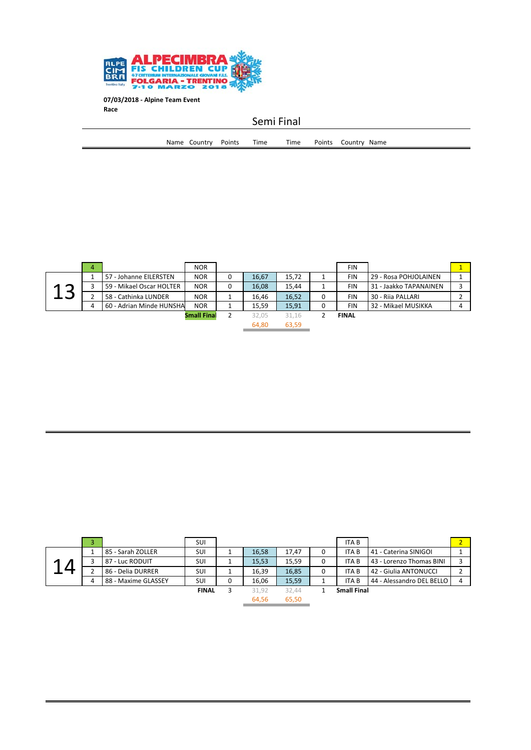

Semi Final

| Name | Country | Points | Time | Time | Points | Name<br>Country |
|------|---------|--------|------|------|--------|-----------------|
|      |         |        |      |      |        |                 |

|                 | 4 |                          | <b>NOR</b>         |   |       |       | <b>FIN</b>   |                        |  |
|-----------------|---|--------------------------|--------------------|---|-------|-------|--------------|------------------------|--|
|                 |   | 57 - Johanne EILERSTEN   | <b>NOR</b>         | 0 | 16,67 | 15,72 | <b>FIN</b>   | 29 - Rosa POHJOLAINEN  |  |
| $\triangleleft$ |   | 59 - Mikael Oscar HOLTER | <b>NOR</b>         | 0 | 16.08 | 15.44 | <b>FIN</b>   | 31 - Jaakko TAPANAINEN |  |
|                 |   | 58 - Cathinka LUNDER     | <b>NOR</b>         |   | 16.46 | 16.52 | <b>FIN</b>   | 30 - Rija PALLARI      |  |
|                 |   | 60 - Adrian Minde HUNSHA | <b>NOR</b>         |   | 15,59 | 15,91 | <b>FIN</b>   | 32 - Mikael MUSIKKA    |  |
|                 |   |                          | <b>Small Final</b> |   | 32,05 | 31.16 | <b>FINAL</b> |                        |  |
|                 |   |                          |                    |   | 64,80 | 63,59 |              |                        |  |

| 3 |                     | <b>SUI</b>   |   |       |       | <b>ITAB</b>        |                           |  |
|---|---------------------|--------------|---|-------|-------|--------------------|---------------------------|--|
|   | 85 - Sarah ZOLLER   | <b>SUI</b>   |   | 16,58 | 17,47 | ITA B              | 41 - Caterina SINIGOI     |  |
|   | 87 - Luc RODUIT     | <b>SUI</b>   |   | 15,53 | 15,59 | <b>ITAB</b>        | 43 - Lorenzo Thomas BINI  |  |
|   | 86 - Delia DURRER   | <b>SUI</b>   |   | 16.39 | 16,85 | <b>ITAB</b>        | 42 - Giulia ANTONUCCI     |  |
| 4 | 88 - Maxime GLASSEY | <b>SUI</b>   | 0 | 16,06 | 15,59 | ITA B              | 44 - Alessandro DEL BELLO |  |
|   |                     | <b>FINAL</b> |   | 31.92 | 32.44 | <b>Small Final</b> |                           |  |
|   |                     |              |   | 64,56 | 65,50 |                    |                           |  |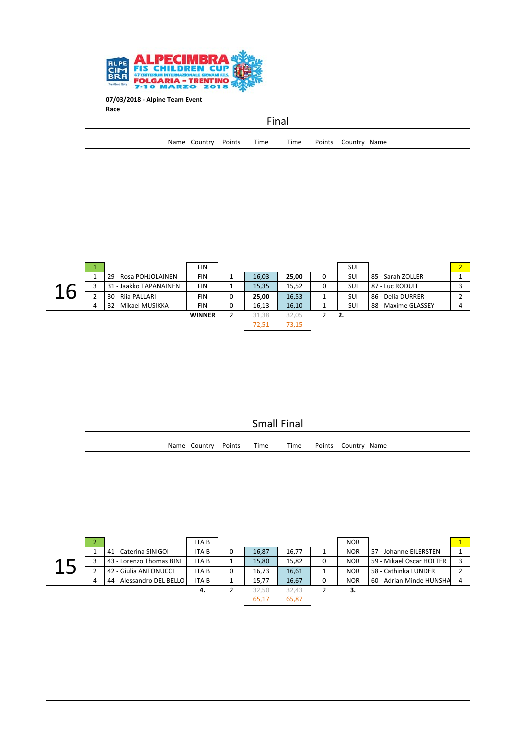

 $\equiv$ 

|  |                     | Final |      |                     |  |
|--|---------------------|-------|------|---------------------|--|
|  | Name Country Points | Time  | Time | Points Country Name |  |
|  |                     |       |      |                     |  |

|   |   |                        | <b>FIN</b>    |   |       |       | SUI        |                     |  |
|---|---|------------------------|---------------|---|-------|-------|------------|---------------------|--|
|   |   | 29 - Rosa POHJOLAINEN  | <b>FIN</b>    |   | 16,03 | 25,00 | SUI        | 85 - Sarah ZOLLER   |  |
| А |   | 31 - Jaakko TAPANAINEN | <b>FIN</b>    |   | 15,35 | 15,52 | <b>SUI</b> | 87 - Luc RODUIT     |  |
|   |   | 30 - Rija PALLARI      | <b>FIN</b>    | 0 | 25,00 | 16,53 | SUI        | 86 - Delia DURRER   |  |
|   | 4 | 32 - Mikael MUSIKKA    | FIN           | 0 | 16,13 | 16,10 | SUI        | 88 - Maxime GLASSEY |  |
|   |   |                        | <b>WINNER</b> |   | 31.38 | 32,05 | - 2.       |                     |  |
|   |   |                        |               |   | 72,51 | 73.15 |            |                     |  |

| <b>Small Final</b> |                     |  |      |      |  |                     |  |  |
|--------------------|---------------------|--|------|------|--|---------------------|--|--|
|                    | Name Country Points |  | Time | Time |  | Points Country Name |  |  |
|                    |                     |  |      |      |  |                     |  |  |

|   |   |                           | <b>ITAB</b> |   |       |       | <b>NOR</b> |                          |  |
|---|---|---------------------------|-------------|---|-------|-------|------------|--------------------------|--|
| л |   | 41 - Caterina SINIGOI     | <b>ITAB</b> | 0 | 16.87 | 16.77 | <b>NOR</b> | 57 - Johanne EILERSTEN   |  |
|   |   | 43 - Lorenzo Thomas BINI  | <b>ITAB</b> |   | 15.80 | 15.82 | <b>NOR</b> | 59 - Mikael Oscar HOLTER |  |
|   |   | 42 - Giulia ANTONUCCI     | <b>ITAB</b> | 0 | 16.73 | 16,61 | <b>NOR</b> | 58 - Cathinka LUNDER     |  |
|   | 4 | 44 - Alessandro DEL BELLO | <b>ITAB</b> |   | 15.77 | 16,67 | <b>NOR</b> | 60 - Adrian Minde HUNSHA |  |
|   |   |                           | 4.          |   | 32.50 | 32.43 | з.         |                          |  |
|   |   |                           |             |   | 65.17 | 65.87 |            |                          |  |